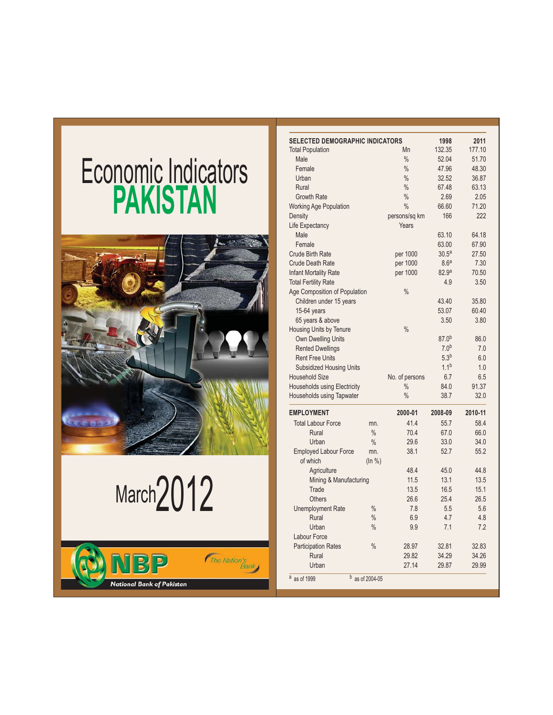## Economic Indicators **PAKISTAN**



# March<sub>2012</sub>



| <b>SELECTED DEMOGRAPHIC INDICATORS</b> |                 |                        | 1998              | 2011    |
|----------------------------------------|-----------------|------------------------|-------------------|---------|
| <b>Total Population</b>                |                 | Mn                     | 132.35            | 177.10  |
| Male                                   |                 | $\frac{0}{0}$          | 52.04             | 51.70   |
| Female                                 |                 | $\%$                   | 47.96             | 48.30   |
| Urban                                  |                 | $\frac{0}{0}$          | 32.52             | 36.87   |
| Rural                                  |                 | $\frac{0}{0}$          | 67.48             | 63.13   |
| <b>Growth Rate</b>                     |                 | $\frac{0}{0}$          | 2.69              | 2.05    |
| <b>Working Age Population</b>          |                 | $\%$                   | 66.60             | 71.20   |
| Density                                |                 | persons/sq km          | 166               | 222     |
| Life Expectancy                        |                 | Years                  |                   |         |
| Male                                   |                 |                        | 63.10             | 64.18   |
| Female                                 |                 |                        | 63.00             | 67.90   |
| <b>Crude Birth Rate</b>                |                 | per 1000               | 30.5 <sup>a</sup> | 27.50   |
| <b>Crude Death Rate</b>                |                 | per 1000               | 8.6 <sup>a</sup>  | 7.30    |
| <b>Infant Mortality Rate</b>           |                 | per 1000               | 82.9 <sup>a</sup> | 70.50   |
| <b>Total Fertility Rate</b>            |                 |                        | 4.9               | 3.50    |
| Age Composition of Population          |                 | $\frac{0}{0}$          |                   |         |
| Children under 15 years                |                 |                        | 43.40             | 35.80   |
| $15-64$ years                          |                 |                        | 53.07             | 60.40   |
| 65 years & above                       |                 |                        | 3.50              | 3.80    |
| Housing Units by Tenure                |                 | $\frac{0}{0}$          |                   |         |
| <b>Own Dwelling Units</b>              |                 |                        | $87.0^{b}$        | 86.0    |
| <b>Rented Dwellings</b>                |                 |                        | 7.0 <sup>b</sup>  | 7.0     |
| <b>Rent Free Units</b>                 |                 |                        | 5.3 <sup>b</sup>  | 6.0     |
| <b>Subsidized Housing Units</b>        |                 |                        | $1.1^{b}$         | 1.0     |
| <b>Household Size</b>                  |                 |                        | 6.7               | 6.5     |
| Households using Electricity           |                 | No. of persons<br>$\%$ | 84.0              | 91.37   |
| Households using Tapwater              |                 | $\frac{0}{0}$          | 38.7              | 32.0    |
|                                        |                 |                        |                   |         |
| <b>EMPLOYMENT</b>                      |                 | 2000-01                | 2008-09           | 2010-11 |
| <b>Total Labour Force</b>              | mn.             | 41.4                   | 55.7              | 58.4    |
| Rural                                  | $\frac{0}{0}$   | 70.4                   | 67.0              | 66.0    |
| Urban                                  | $\frac{0}{0}$   | 29.6                   | 33.0              | 34.0    |
| <b>Employed Labour Force</b>           | mn.             | 38.1                   | 52.7              | 55.2    |
| of which                               | (ln % )         |                        |                   |         |
| Agriculture                            |                 | 48.4                   | 45.0              | 44.8    |
| Mining & Manufacturing                 |                 | 11.5                   | 13.1              | 13.5    |
| Trade                                  |                 | 13.5                   | 16.5              | 15.1    |
| <b>Others</b>                          |                 | 26.6                   | 25.4              | 26.5    |
| <b>Unemployment Rate</b>               | $\frac{0}{0}$   | 7.8                    | 5.5               | 5.6     |
| Rural                                  | $\frac{0}{0}$   | 6.9                    | 4.7               | 4.8     |
| Urban                                  | $\frac{0}{0}$   | 9.9                    | 7.1               | 7.2     |
| Labour Force                           |                 |                        |                   |         |
| <b>Participation Rates</b>             | $\frac{0}{0}$   | 28.97                  | 32.81             | 32.83   |
| Rural                                  |                 | 29.82                  | 34.29             | 34.26   |
| Urban                                  |                 | 27.14                  | 29.87             | 29.99   |
| $\overline{a}$ as of 1999              | b as of 2004-05 |                        |                   |         |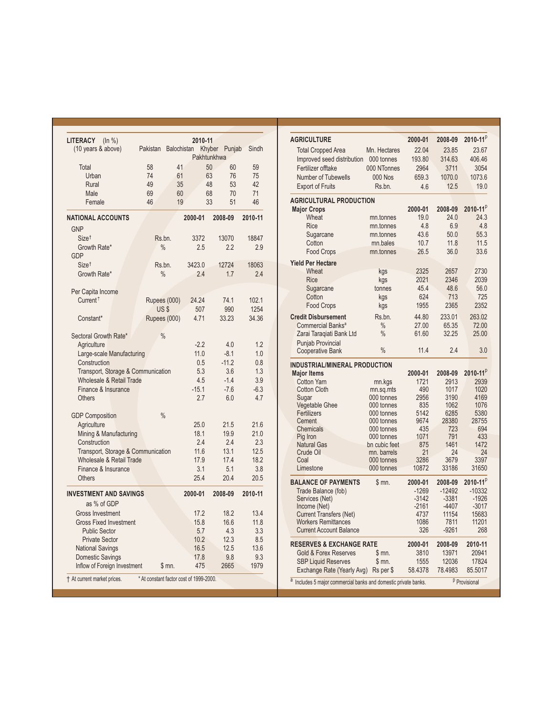| LITERACY<br>(ln % )<br>(10 years & above)              | Pakistan      | <b>Balochistan</b> | 2010-11<br>Pakhtunkhwa                  | Khyber Punjab | Sindh    |
|--------------------------------------------------------|---------------|--------------------|-----------------------------------------|---------------|----------|
|                                                        |               |                    |                                         |               |          |
| Total                                                  | 58            | 41                 | 50                                      | 60<br>76      | 59       |
| Urban                                                  | 74            | 61                 | 63                                      |               | 75       |
| Rural                                                  | 49            | 35                 | 48                                      | 53            | 42       |
| Male<br>Female                                         | 69<br>46      | 60<br>19           | 68<br>33                                | 70<br>51      | 71<br>46 |
|                                                        |               |                    |                                         |               |          |
| <b>NATIONAL ACCOUNTS</b>                               |               |                    | 2000-01                                 | 2008-09       | 2010-11  |
| <b>GNP</b>                                             |               |                    |                                         |               |          |
| Size <sup>†</sup>                                      | Rs.bn.        |                    | 3372                                    | 13070         | 18847    |
| Growth Rate*                                           | $\frac{0}{0}$ |                    | 2.5                                     | 2.2           | 2.9      |
| GDP                                                    |               |                    |                                         |               |          |
| Size <sup>+</sup>                                      | Rs.bn.        |                    | 3423.0                                  | 12724         | 18063    |
| Growth Rate*                                           | $\frac{0}{0}$ |                    | 2.4                                     | 1.7           | 2.4      |
|                                                        |               |                    |                                         |               |          |
| Per Capita Income<br>Current <sup><math>†</math></sup> |               |                    | 24.24                                   | 74.1          | 102.1    |
|                                                        | Rupees (000)  |                    |                                         |               |          |
|                                                        | US\$          |                    | 507                                     | 990           | 1254     |
| Constant*                                              | Rupees (000)  |                    | 4.71                                    | 33.23         | 34.36    |
| Sectoral Growth Rate*                                  | $\frac{0}{0}$ |                    |                                         |               |          |
| Agriculture                                            |               |                    | $-2.2$                                  | 4.0           | 1.2      |
| Large-scale Manufacturing                              |               |                    | 11.0                                    | $-8.1$        | 1.0      |
| Construction                                           |               |                    | 0.5                                     | $-11.2$       | 0.8      |
| Transport, Storage & Communication                     |               |                    | 5.3                                     | 3.6           | 1.3      |
| Wholesale & Retail Trade                               |               |                    | 4.5                                     | $-1.4$        | 3.9      |
| Finance & Insurance                                    |               |                    | $-15.1$                                 | $-7.6$        | $-6.3$   |
| <b>Others</b>                                          |               |                    | 2.7                                     | 6.0           | 4.7      |
|                                                        |               |                    |                                         |               |          |
| <b>GDP Composition</b>                                 | $\frac{0}{0}$ |                    |                                         |               |          |
| Agriculture                                            |               |                    | 25.0                                    | 21.5          | 21.6     |
| Mining & Manufacturing                                 |               |                    | 18.1                                    | 19.9          | 21.0     |
| Construction                                           |               |                    | 2.4                                     | 2.4           | 2.3      |
| Transport, Storage & Communication                     |               |                    | 11.6                                    | 13.1          | 12.5     |
| Wholesale & Retail Trade                               |               |                    | 17.9                                    | 17.4          | 18.2     |
| Finance & Insurance                                    |               |                    | 3.1                                     | 5.1           | 3.8      |
| <b>Others</b>                                          |               |                    | 25.4                                    | 20.4          | 20.5     |
| <b>INVESTMENT AND SAVINGS</b>                          |               |                    | 2000-01                                 | 2008-09       | 2010-11  |
| as % of GDP                                            |               |                    |                                         |               |          |
| <b>Gross Investment</b>                                |               |                    | 17.2                                    | 18.2          | 13.4     |
| <b>Gross Fixed Investment</b>                          |               |                    | 15.8                                    | 16.6          | 11.8     |
| <b>Public Sector</b>                                   |               |                    | 5.7                                     | 4.3           | 3.3      |
| <b>Private Sector</b>                                  |               |                    | 10.2                                    | 12.3          | 8.5      |
| <b>National Savings</b>                                |               |                    | 16.5                                    | 12.5          | 13.6     |
| <b>Domestic Savings</b>                                |               |                    | 17.8                                    | 9.8           | 9.3      |
| Inflow of Foreign Investment                           |               | \$ mn.             | 475                                     | 2665          | 1979     |
| † At current market prices.                            |               |                    | * At constant factor cost of 1999-2000. |               |          |

| <b>AGRICULTURE</b>                                           |                           | 2000-01     | 2008-09         | 2010-11 $p$     |
|--------------------------------------------------------------|---------------------------|-------------|-----------------|-----------------|
| <b>Total Cropped Area</b>                                    | Mn. Hectares              | 22.04       | 23.85           | 23.67           |
| Improved seed distribution                                   | 000 tonnes                | 193.80      | 314.63          | 406.46          |
| Fertilizer offtake                                           | 000 NTonnes               | 2964        | 3711            | 3054            |
| <b>Number of Tubewells</b>                                   | <b>000 Nos</b>            | 659.3       | 1070.0          | 1073.6          |
| <b>Export of Fruits</b>                                      | Rs.bn.                    | 4.6         | 12.5            | 19.0            |
|                                                              |                           |             |                 |                 |
| <b>AGRICULTURAL PRODUCTION</b>                               |                           |             |                 |                 |
| <b>Major Crops</b>                                           |                           | 2000-01     | 2008-09         | $2010 - 11^{p}$ |
| Wheat                                                        | mn.tonnes                 | 19.0        | 24.0            | 24.3            |
| Rice                                                         | mn.tonnes                 | 4.8         | 6.9             | 4.8             |
| Sugarcane                                                    | mn.tonnes                 | 43.6        | 50.0            | 55.3            |
| Cotton                                                       | mn.bales                  | 10.7        | 11.8            | 11.5            |
| <b>Food Crops</b>                                            | mn.tonnes                 | 26.5        | 36.0            | 33.6            |
| <b>Yield Per Hectare</b>                                     |                           |             |                 |                 |
| Wheat                                                        | kgs                       | 2325        | 2657            | 2730            |
| <b>Rice</b>                                                  | kgs                       | 2021        | 2346            | 2039            |
| Sugarcane                                                    | tonnes                    | 45.4        | 48.6            | 56.0            |
| Cotton                                                       | kgs                       | 624         | 713             | 725             |
| Food Crops                                                   | kgs                       | 1955        | 2365            | 2352            |
| <b>Credit Disbursement</b>                                   | Rs.bn.                    | 44.80       | 233.01          | 263.02          |
| Commercial Banks <sup>a</sup>                                | $\frac{0}{0}$             | 27.00       | 65.35           | 72.00           |
| Zarai Taraqiati Bank Ltd                                     | $\frac{0}{0}$             | 61.60       | 32.25           | 25.00           |
| <b>Punjab Provincial</b>                                     |                           |             |                 |                 |
| <b>Cooperative Bank</b>                                      | $\frac{0}{0}$             | 11.4        | 2.4             | 3.0             |
| <b>INDUSTRIAL/MINERAL PRODUCTION</b>                         |                           |             |                 |                 |
| <b>Major Items</b>                                           |                           | 2000-01     | 2008-09         | $2010 - 11^{p}$ |
| <b>Cotton Yarn</b>                                           | mn.kgs                    | 1721        | 2913            | 2939            |
| <b>Cotton Cloth</b>                                          | mn.sq.mts                 | 490         | 1017            | 1020            |
| Sugar                                                        | 000 tonnes                | 2956        | 3190            | 4169            |
| Vegetable Ghee                                               | 000 tonnes                | 835         | 1062            | 1076            |
| Fertilizers                                                  | 000 tonnes                | 5142        | 6285            | 5380            |
| Cement                                                       | 000 tonnes                | 9674        | 28380           | 28755           |
| <b>Chemicals</b>                                             | 000 tonnes                | 435         | 723             | 694             |
| Pig Iron                                                     | 000 tonnes                | 1071        | 791             | 433             |
| <b>Natural Gas</b>                                           | bn cubic feet             | 875<br>21   | 1461            | 1472<br>24      |
| Crude Oil<br>Coal                                            | mn. barrels<br>000 tonnes | 3286        | 24<br>3679      | 3397            |
| Limestone                                                    | 000 tonnes                | 10872       | 33186           | 31650           |
|                                                              |                           |             |                 |                 |
| <b>BALANCE OF PAYMENTS</b>                                   | \$m.                      | 2000-01     | 2008-09         | $2010 - 11^{p}$ |
| Trade Balance (fob)                                          |                           | $-1269$     | $-12492$        | $-10332$        |
| Services (Net)                                               |                           | $-3142$     | $-3381$         | $-1926$         |
| Income (Net)                                                 |                           | $-2161$     | -4407           | $-3017$         |
| <b>Current Transfers (Net)</b>                               |                           | 4737        | 11154           | 15683           |
| <b>Workers Remittances</b><br><b>Current Account Balance</b> |                           | 1086<br>326 | 7811<br>$-9261$ | 11201<br>268    |
|                                                              |                           |             |                 |                 |
| <b>RESERVES &amp; EXCHANGE RATE</b>                          |                           | 2000-01     | 2008-09         | 2010-11         |
| <b>Gold &amp; Forex Reserves</b>                             | \$mn.                     | 3810        | 13971           | 20941           |
| <b>SBP Liquid Reserves</b>                                   | \$ mn.                    | 1555        | 12036           | 17824           |
| Exchange Rate (Yearly Avg)                                   | Rs per \$                 | 58.4378     | 78.4983         | 85.5017         |

a Includes 5 major commercial banks and domestic private banks.

<sup>p</sup> Provisional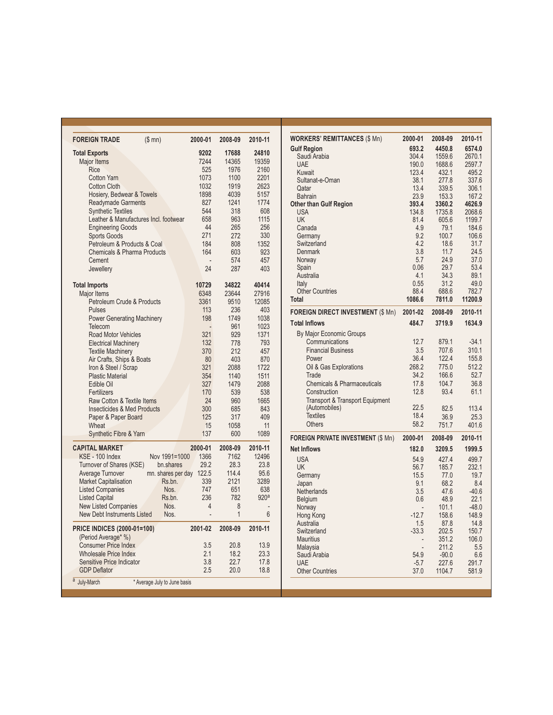| <b>FOREIGN TRADE</b>                   | (\$m)                        | 2000-01 | 2008-09      | 2010-11          |
|----------------------------------------|------------------------------|---------|--------------|------------------|
| <b>Total Exports</b>                   |                              | 9202    | 17688        | 24810            |
| <b>Major Items</b>                     |                              | 7244    | 14365        | 19359            |
| Rice                                   |                              | 525     | 1976         | 2160             |
| <b>Cotton Yarn</b>                     |                              | 1073    | 1100         | 2201             |
| <b>Cotton Cloth</b>                    |                              | 1032    | 1919         | 2623             |
| Hosiery, Bedwear & Towels              |                              | 1898    | 4039         | 5157             |
| <b>Readymade Garments</b>              |                              | 827     | 1241         | 1774             |
| <b>Synthetic Textiles</b>              |                              | 544     | 318          | 608              |
| Leather & Manufactures Incl. footwear  |                              | 658     | 963          | 1115             |
| <b>Engineering Goods</b>               |                              | 44      | 265          | 256              |
| <b>Sports Goods</b>                    |                              | 271     | 272          | 330              |
| Petroleum & Products & Coal            |                              | 184     | 808          | 1352             |
| Chemicals & Pharma Products            |                              | 164     | 603          | 923              |
| Cement                                 |                              |         | 574          | 457              |
| Jewellery                              |                              | 24      | 287          | 403              |
|                                        |                              |         |              |                  |
| <b>Total Imports</b>                   |                              | 10729   | 34822        | 40414            |
| Major Items                            |                              | 6348    | 23644        | 27916            |
| Petroleum Crude & Products             |                              | 3361    | 9510         | 12085            |
| <b>Pulses</b>                          |                              | 113     | 236          | 403              |
| <b>Power Generating Machinery</b>      |                              | 198     | 1749         | 1038             |
| Telecom                                |                              |         | 961          | 1023             |
| <b>Road Motor Vehicles</b>             |                              | 321     | 929          | 1371             |
| <b>Electrical Machinery</b>            |                              | 132     | 778          | 793              |
| <b>Textile Machinery</b>               |                              | 370     | 212          | 457              |
| Air Crafts, Ships & Boats              |                              | 80      | 403          | 870              |
| Iron & Steel / Scrap                   |                              | 321     | 2088         | 1722             |
| <b>Plastic Material</b>                |                              | 354     | 1140         | 1511             |
| Edible Oil                             |                              | 327     | 1479         | 2088             |
| Fertilizers                            |                              | 170     | 539          | 538              |
| Raw Cotton & Textile Items             |                              | 24      | 960          | 1665             |
| <b>Insecticides &amp; Med Products</b> |                              | 300     | 685          | 843              |
| Paper & Paper Board                    |                              | 125     | 317          | 409              |
| Wheat                                  |                              | 15      | 1058         | 11               |
| <b>Synthetic Fibre &amp; Yarn</b>      |                              | 137     | 600          | 1089             |
| <b>CAPITAL MARKET</b>                  |                              | 2000-01 | 2008-09      | 2010-11          |
| KSE - 100 Index                        | Nov 1991=1000                | 1366    | 7162         | 12496            |
| Turnover of Shares (KSE)               | bn.shares                    | 29.2    | 28.3         | 23.8             |
| Average Turnover                       | mn. shares per day           | 122.5   | 114.4        | 95.6             |
| <b>Market Capitalisation</b>           | Rs.bn.                       | 339     | 2121         | 3289             |
| <b>Listed Companies</b>                | Nos.                         | 747     | 651          | 638              |
| <b>Listed Capital</b>                  | Rs.bn.                       | 236     | 782          | 920 <sup>a</sup> |
| <b>New Listed Companies</b>            | Nos.                         | 4       | 8            |                  |
| <b>New Debt Instruments Listed</b>     | Nos.                         |         | $\mathbf{1}$ | 6                |
|                                        |                              |         |              |                  |
| <b>PRICE INDICES (2000-01=100)</b>     |                              | 2001-02 | 2008-09      | 2010-11          |
| (Period Average* %)                    |                              |         |              |                  |
| <b>Consumer Price Index</b>            |                              | 3.5     | 20.8         | 13.9             |
| <b>Wholesale Price Index</b>           |                              | 2.1     | 18.2         | 23.3             |
| Sensitive Price Indicator              |                              | 3.8     | 22.7         | 17.8             |
| <b>GDP Deflator</b>                    |                              | 2.5     | 20.0         | 18.8             |
| $\overline{a}$<br>July-March           | * Average July to June basis |         |              |                  |

| <b>WORKERS' REMITTANCES (\$ Mn)</b>        | 2000-01                  | 2008-09        | 2010-11        |
|--------------------------------------------|--------------------------|----------------|----------------|
| <b>Gulf Region</b>                         | 693.2                    | 4450.8         | 6574.0         |
| Saudi Arabia                               | 304.4                    | 1559.6         | 2670.1         |
| <b>UAE</b>                                 | 190.0                    | 1688.6         | 2597.7         |
| Kuwait                                     | 123.4                    | 432.1          | 495.2          |
| Sultanat-e-Oman                            | 38.1                     | 277.8          | 337.6          |
| Qatar<br><b>Bahrain</b>                    | 13.4<br>23.9             | 339.5<br>153.3 | 306.1<br>167.2 |
| <b>Other than Gulf Region</b>              | 393.4                    | 3360.2         | 4626.9         |
| <b>USA</b>                                 | 134.8                    | 1735.8         | 2068.6         |
| <b>UK</b>                                  | 81.4                     | 605.6          | 1199.7         |
| Canada                                     | 4.9                      | 79.1           | 184.6          |
| Germany                                    | 9.2                      | 100.7          | 106.6          |
| Switzerland                                | 4.2                      | 18.6           | 31.7           |
| <b>Denmark</b>                             | 3.8                      | 11.7           | 24.5           |
| Norway                                     | 5.7                      | 24.9           | 37.0           |
| Spain                                      | 0.06                     | 29.7           | 53.4           |
| Australia                                  | 4.1                      | 34.3           | 89.1           |
| Italy                                      | 0.55                     | 31.2           | 49.0           |
| <b>Other Countries</b>                     | 88.4                     | 688.6          | 782.7          |
| <b>Total</b>                               | 1086.6                   | 7811.0         | 11200.9        |
| <b>FOREIGN DIRECT INVESTMENT (\$ Mn)</b>   | 2001-02                  | 2008-09        | 2010-11        |
| <b>Total Inflows</b>                       | 484.7                    | 3719.9         | 1634.9         |
| By Major Economic Groups                   |                          |                |                |
| Communications                             | 12.7                     | 879.1          | $-34.1$        |
| <b>Financial Business</b>                  | 3.5                      | 707.6          | 310.1          |
| Power                                      | 36.4                     | 122.4          | 155.8          |
| Oil & Gas Explorations                     | 268.2                    | 775.0          | 512.2          |
| Trade                                      | 34.2                     | 166.6          | 52.7           |
| Chemicals & Pharmaceuticals                | 17.8                     | 104.7          | 36.8           |
| Construction                               | 12.8                     | 93.4           | 61.1           |
| <b>Transport &amp; Transport Equipment</b> |                          |                |                |
| (Automobiles)                              | 22.5                     | 82.5           | 113.4          |
| <b>Textiles</b>                            | 18.4                     | 36.9           | 25.3           |
| <b>Others</b>                              | 58.2                     | 751.7          | 401.6          |
| <b>FOREIGN PRIVATE INVESTMENT (\$ Mn)</b>  | 2000-01                  | 2008-09        | 2010-11        |
| <b>Net Inflows</b>                         | 182.0                    | 3209.5         | 1999.5         |
| <b>USA</b>                                 | 54.9                     | 427.4          | 499.7          |
| <b>UK</b>                                  | 56.7                     | 185.7          | 232.1          |
| Germany                                    | 15.5                     | 77.0           | 19.7           |
| Japan                                      | 9.1                      | 68.2           | 8.4            |
| Netherlands                                | 3.5                      | 47.6           | $-40.6$        |
| Belgium                                    | 0.6                      | 48.9           | 22.1           |
| Norway                                     | $\overline{\phantom{a}}$ | 101.1          | $-48.0$        |
| Hong Kong                                  | $-12.7$                  | 158.6          | 148.9          |
| Australia                                  | 1.5                      | 87.8           | 14.8           |
| Switzerland                                | $-33.3$                  | 202.5          | 150.7          |
| <b>Mauritius</b>                           |                          | 351.2          | 106.0          |
| Malaysia                                   |                          | 211.2          | 5.5            |
| Saudi Arabia                               | 54.9                     | $-90.0$        | 6.6            |
| <b>UAF</b>                                 | $-5.7$                   | 227.6          | 291.7          |
| <b>Other Countries</b>                     | 37.0                     | 1104.7         | 581.9          |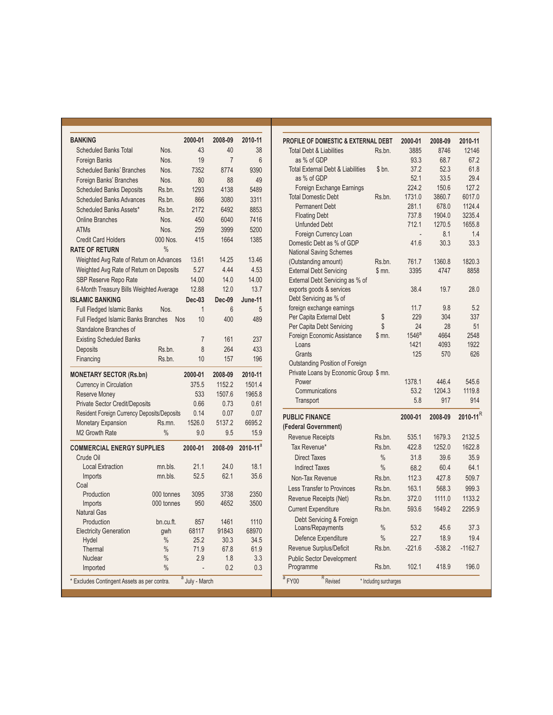| <b>BANKING</b>                              |               | 2000-01        | 2008-09        | 2010-11         |
|---------------------------------------------|---------------|----------------|----------------|-----------------|
| <b>Scheduled Banks Total</b>                | Nos.          | 43             | 40             | 38              |
| <b>Foreign Banks</b>                        | Nos.          | 19             | $\overline{7}$ | 6               |
| <b>Scheduled Banks' Branches</b>            | Nos.          | 7352           | 8774           | 9390            |
| Foreign Banks' Branches                     | Nos.          | 80             | 88             | 49              |
| <b>Scheduled Banks Deposits</b>             | Rs.bn.        | 1293           | 4138           | 5489            |
| <b>Scheduled Banks Advances</b>             | Rs.bn.        | 866            | 3080           | 3311            |
| Scheduled Banks Assets*                     | Rs.bn.        | 2172           | 6492           | 8853            |
| <b>Online Branches</b>                      | Nos.          | 450            | 6040           | 7416            |
| <b>ATMs</b>                                 | Nos.          | 259            | 3999           | 5200            |
| <b>Credit Card Holders</b>                  | 000 Nos.      | 415            | 1664           | 1385            |
| <b>RATE OF RETURN</b>                       | $\frac{0}{0}$ |                |                |                 |
| Weighted Avg Rate of Return on Advances     |               | 13.61          | 14.25          | 13.46           |
| Weighted Avg Rate of Return on Deposits     |               | 5.27           | 4.44           | 4.53            |
| SBP Reserve Repo Rate                       |               | 14.00          | 14.0           | 14.00           |
| 6-Month Treasury Bills Weighted Average     |               | 12.88          | 12.0           | 13.7            |
| <b>ISLAMIC BANKING</b>                      |               | <b>Dec-03</b>  | Dec-09         | June-11         |
| Full Fledged Islamic Banks                  | Nos.          | $\overline{1}$ | 6              | 5               |
| <b>Full Fledged Islamic Banks Branches</b>  | <b>Nos</b>    | 10             | 400            | 489             |
| Standalone Branches of                      |               |                |                |                 |
| <b>Existing Scheduled Banks</b>             |               | $\overline{7}$ | 161            | 237             |
| Deposits                                    | Rs.bn.        | 8              | 264            | 433             |
| Financing                                   | Rs.bn.        | 10             | 157            | 196             |
| <b>MONETARY SECTOR (Rs.bn)</b>              |               | 2000-01        | 2008-09        | 2010-11         |
| Currency in Circulation                     |               | 375.5          | 1152.2         | 1501.4          |
| <b>Reserve Money</b>                        |               | 533            | 1507.6         | 1965.8          |
| <b>Private Sector Credit/Deposits</b>       |               | 0.66           | 0.73           | 0.61            |
| Resident Foreign Currency Deposits/Deposits |               | 0.14           | 0.07           | 0.07            |
| <b>Monetary Expansion</b>                   | Rs.mn.        | 1526.0         | 5137.2         | 6695.2          |
| M <sub>2</sub> Growth Rate                  | $\frac{0}{0}$ | 9.0            | 9.5            | 15.9            |
| <b>COMMERCIAL ENERGY SUPPLIES</b>           |               | 2000-01        | 2008-09        | $2010 - 11^{a}$ |
| Crude Oil                                   |               |                |                |                 |
| <b>Local Extraction</b>                     | mn.bls.       | 21.1           | 24.0           | 18.1            |
| Imports                                     | mn.bls.       | 52.5           | 62.1           | 35.6            |
| Coal                                        |               |                |                |                 |
| Production                                  | 000 tonnes    | 3095           | 3738           | 2350            |
| Imports                                     | 000 tonnes    | 950            | 4652           | 3500            |
| <b>Natural Gas</b>                          |               |                |                |                 |
| Production                                  | bn.cu.ft.     | 857            | 1461           | 1110            |
| <b>Electricity Generation</b>               | qwh           | 68117          | 91843          | 68970           |
| Hydel                                       | $\frac{0}{0}$ | 25.2           | 30.3           | 34.5            |
| Thermal                                     | $\frac{0}{0}$ | 71.9           | 67.8           | 61.9            |
| Nuclear                                     | $\frac{0}{0}$ | 2.9            | 1.8            | 3.3             |
| Imported                                    | $\frac{0}{0}$ |                | 0.2            | 0.3             |
| * Excludes Contingent Assets as per contra. |               | a July - March |                |                 |

| <b>PROFILE OF DOMESTIC &amp; EXTERNAL DEBT</b> |                        | 2000-01           | 2008-09       | 2010-11     |  |
|------------------------------------------------|------------------------|-------------------|---------------|-------------|--|
| <b>Total Debt &amp; Liabilities</b>            | Rs.bn.                 | 3885              | 8746          | 12146       |  |
| as % of GDP                                    |                        | 93.3              | 68.7          | 67.2        |  |
| <b>Total External Debt &amp; Liabilities</b>   | \$bn.                  | 37.2              | 52.3          | 61.8        |  |
| as % of GDP                                    |                        | 52.1              | 33.5          | 29.4        |  |
| Foreign Exchange Earnings                      |                        | 224.2             | 150.6         | 127.2       |  |
| <b>Total Domestic Debt</b>                     | Rs.bn.                 | 1731.0            | 3860.7        | 6017.0      |  |
| <b>Permanent Debt</b>                          |                        | 281.1             | 678.0         | 1124.4      |  |
| <b>Floating Debt</b>                           |                        | 737.8             | 1904.0        | 3235.4      |  |
| <b>Unfunded Debt</b>                           |                        | 712.1             | 1270.5        | 1655.8      |  |
| Foreign Currency Loan                          |                        |                   | 8.1           | 1.4         |  |
| Domestic Debt as % of GDP                      |                        | 41.6              | 30.3          | 33.3        |  |
| <b>National Saving Schemes</b>                 |                        |                   |               |             |  |
| (Outstanding amount)                           | Rs.bn.                 | 761.7             | 1360.8        | 1820.3      |  |
| <b>External Debt Servicing</b>                 | \$m.                   | 3395              | 4747          | 8858        |  |
| External Debt Servicing as % of                |                        |                   |               |             |  |
| exports goods & services                       |                        | 38.4              | 19.7          | 28.0        |  |
| Debt Servicing as % of                         |                        |                   |               |             |  |
| foreign exchange earnings                      |                        | 11.7              | 9.8           | 5.2         |  |
| Per Capita External Debt                       | \$                     | 229               | 304           | 337         |  |
| Per Capita Debt Servicing                      | \$                     | 24                | 28            | 51          |  |
| Foreign Economic Assistance                    | \$m.                   | 1546 <sup>a</sup> | 4664          | 2548        |  |
| Loans                                          |                        | 1421<br>125       | 4093          | 1922<br>626 |  |
| Grants                                         |                        |                   | 570           |             |  |
| Outstanding Position of Foreign                |                        |                   |               |             |  |
|                                                |                        |                   |               |             |  |
| Private Loans by Economic Group \$ mn.         |                        |                   |               |             |  |
| Power                                          |                        | 1378.1            | 446.4         | 545.6       |  |
| Communications                                 |                        | 53.2<br>5.8       | 1204.3<br>917 | 1119.8      |  |
| Transport                                      |                        |                   |               | 914         |  |
| <b>PUBLIC FINANCE</b>                          |                        | 2000-01           | 2008-09       | 2010-11 $R$ |  |
| <b>Federal Government)</b>                     |                        |                   |               |             |  |
| <b>Revenue Receipts</b>                        | Rs.bn.                 | 535.1             | 1679.3        | 2132.5      |  |
| Tax Revenue*                                   | Rs.bn.                 | 422.8             | 1252.0        | 1622.8      |  |
| <b>Direct Taxes</b>                            | $\frac{0}{0}$          | 31.8              | 39.6          | 35.9        |  |
| <b>Indirect Taxes</b>                          | $\frac{0}{0}$          | 68.2              | 60.4          | 64.1        |  |
| Non-Tax Revenue                                | Rs.bn.                 | 112.3             | 427.8         | 509.7       |  |
| <b>Less Transfer to Provinces</b>              | Rs.bn.                 | 163.1             | 568.3         | 999.3       |  |
| Revenue Receipts (Net)                         | Rs.bn.                 | 372.0             | 1111.0        | 1133.2      |  |
| <b>Current Expenditure</b>                     | Rs.bn.                 | 593.6             | 1649.2        | 2295.9      |  |
| Debt Servicing & Foreign                       |                        |                   |               |             |  |
| Loans/Repayments                               | $\frac{0}{0}$          | 53.2              | 45.6          | 37.3        |  |
| Defence Expenditure                            | $\frac{0}{0}$          | 22.7              | 18.9          | 19.4        |  |
| Revenue Surplus/Deficit                        | Rs.bn.                 | $-221.6$          | $-538.2$      | $-1162.7$   |  |
| <b>Public Sector Development</b>               |                        |                   |               |             |  |
| Programme                                      | Rs.bn.                 | 102.1             | 418.9         | 196.0       |  |
| $R$ Revised<br>PY00                            | * Including surcharges |                   |               |             |  |